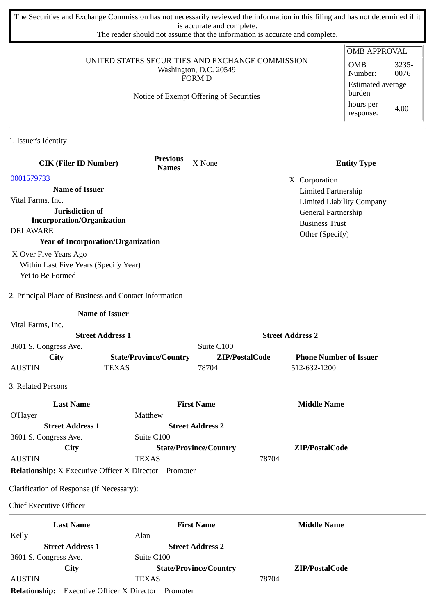The Securities and Exchange Commission has not necessarily reviewed the information in this filing and has not determined if it is accurate and complete.

The reader should not assume that the information is accurate and complete.

|                                                                                    |                                                              |                                         |                                          | <b>OMB APPROVAL</b>              |
|------------------------------------------------------------------------------------|--------------------------------------------------------------|-----------------------------------------|------------------------------------------|----------------------------------|
| UNITED STATES SECURITIES AND EXCHANGE COMMISSION                                   | <b>OMB</b><br>3235-<br>0076<br>Number:                       |                                         |                                          |                                  |
|                                                                                    |                                                              | FORM D                                  |                                          | <b>Estimated average</b>         |
|                                                                                    |                                                              | Notice of Exempt Offering of Securities |                                          | burden                           |
|                                                                                    |                                                              |                                         |                                          | hours per<br>4.00<br>response:   |
| 1. Issuer's Identity                                                               |                                                              |                                         |                                          |                                  |
| <b>CIK (Filer ID Number)</b>                                                       | <b>Previous</b><br><b>Names</b>                              | X None                                  |                                          | <b>Entity Type</b>               |
| 0001579733                                                                         |                                                              |                                         | X Corporation                            |                                  |
| <b>Name of Issuer</b>                                                              |                                                              |                                         |                                          | <b>Limited Partnership</b>       |
| Vital Farms, Inc.                                                                  |                                                              |                                         |                                          | <b>Limited Liability Company</b> |
| Jurisdiction of<br><b>Incorporation/Organization</b>                               |                                                              |                                         |                                          | General Partnership              |
| <b>DELAWARE</b>                                                                    |                                                              |                                         | <b>Business Trust</b><br>Other (Specify) |                                  |
| <b>Year of Incorporation/Organization</b>                                          |                                                              |                                         |                                          |                                  |
| X Over Five Years Ago<br>Within Last Five Years (Specify Year)<br>Yet to Be Formed |                                                              |                                         |                                          |                                  |
| 2. Principal Place of Business and Contact Information                             |                                                              |                                         |                                          |                                  |
|                                                                                    | <b>Name of Issuer</b>                                        |                                         |                                          |                                  |
| Vital Farms, Inc.                                                                  |                                                              |                                         |                                          |                                  |
|                                                                                    | <b>Street Address 1</b>                                      |                                         | <b>Street Address 2</b>                  |                                  |
| 3601 S. Congress Ave.                                                              |                                                              | Suite C100                              |                                          |                                  |
| City                                                                               | <b>State/Province/Country</b>                                | ZIP/PostalCode                          |                                          | <b>Phone Number of Issuer</b>    |
| <b>AUSTIN</b>                                                                      | <b>TEXAS</b>                                                 | 78704                                   | 512-632-1200                             |                                  |
| 3. Related Persons                                                                 |                                                              |                                         |                                          |                                  |
| <b>Last Name</b>                                                                   |                                                              | <b>First Name</b>                       | <b>Middle Name</b>                       |                                  |
| O'Hayer                                                                            | Matthew                                                      |                                         |                                          |                                  |
| <b>Street Address 1</b><br>3601 S. Congress Ave.                                   | Suite C100                                                   | <b>Street Address 2</b>                 |                                          |                                  |
| City                                                                               |                                                              | <b>State/Province/Country</b>           | ZIP/PostalCode                           |                                  |
| <b>AUSTIN</b>                                                                      | <b>TEXAS</b>                                                 |                                         | 78704                                    |                                  |
|                                                                                    | <b>Relationship:</b> X Executive Officer X Director Promoter |                                         |                                          |                                  |
| Clarification of Response (if Necessary):                                          |                                                              |                                         |                                          |                                  |
| <b>Chief Executive Officer</b>                                                     |                                                              |                                         |                                          |                                  |
| <b>Last Name</b>                                                                   |                                                              | <b>First Name</b>                       | <b>Middle Name</b>                       |                                  |
| Kelly                                                                              | Alan                                                         |                                         |                                          |                                  |
| <b>Street Address 1</b>                                                            |                                                              | <b>Street Address 2</b>                 |                                          |                                  |
| 3601 S. Congress Ave.                                                              | Suite C100                                                   |                                         |                                          |                                  |
| City                                                                               |                                                              | <b>State/Province/Country</b>           | ZIP/PostalCode                           |                                  |
| <b>AUSTIN</b>                                                                      | <b>TEXAS</b>                                                 |                                         | 78704                                    |                                  |

**Relationship:** Executive Officer X Director Promoter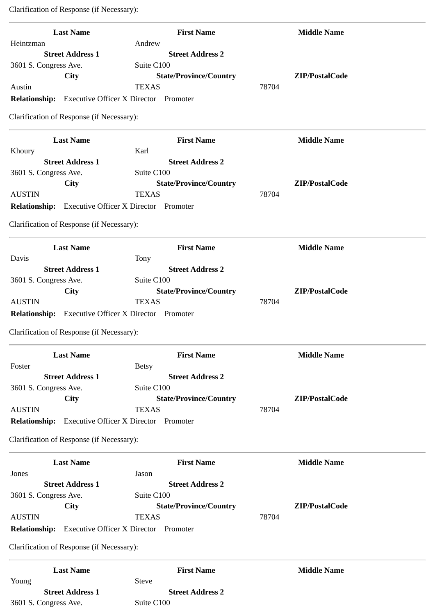Clarification of Response (if Necessary):

| <b>Last Name</b>                                            | <b>First Name</b>                             | <b>Middle Name</b>      |
|-------------------------------------------------------------|-----------------------------------------------|-------------------------|
| Heintzman                                                   | Andrew                                        |                         |
| <b>Street Address 1</b>                                     | <b>Street Address 2</b>                       |                         |
| 3601 S. Congress Ave.                                       | Suite C100                                    |                         |
| <b>City</b>                                                 | <b>State/Province/Country</b>                 | ZIP/PostalCode          |
| Austin                                                      | <b>TEXAS</b>                                  | 78704                   |
| Relationship: Executive Officer X Director Promoter         |                                               |                         |
| Clarification of Response (if Necessary):                   |                                               |                         |
| <b>Last Name</b>                                            | <b>First Name</b>                             | <b>Middle Name</b>      |
| Khoury                                                      | Karl                                          |                         |
| <b>Street Address 1</b>                                     | <b>Street Address 2</b>                       |                         |
| 3601 S. Congress Ave.                                       | Suite C100                                    |                         |
| City<br><b>AUSTIN</b>                                       | <b>State/Province/Country</b><br><b>TEXAS</b> | ZIP/PostalCode<br>78704 |
| <b>Relationship:</b>                                        | <b>Executive Officer X Director Promoter</b>  |                         |
|                                                             |                                               |                         |
| Clarification of Response (if Necessary):                   |                                               |                         |
| <b>Last Name</b>                                            | <b>First Name</b>                             | <b>Middle Name</b>      |
| Davis                                                       | Tony                                          |                         |
| <b>Street Address 1</b>                                     | <b>Street Address 2</b>                       |                         |
| 3601 S. Congress Ave.                                       | Suite C100                                    |                         |
| City                                                        | <b>State/Province/Country</b>                 | ZIP/PostalCode          |
| <b>AUSTIN</b>                                               | <b>TEXAS</b>                                  | 78704                   |
| Relationship: Executive Officer X Director Promoter         |                                               |                         |
| Clarification of Response (if Necessary):                   |                                               |                         |
| <b>Last Name</b>                                            | <b>First Name</b>                             | <b>Middle Name</b>      |
| Foster                                                      | <b>Betsy</b>                                  |                         |
| <b>Street Address 1</b>                                     | <b>Street Address 2</b>                       |                         |
| 3601 S. Congress Ave.                                       | Suite C100                                    |                         |
| City                                                        | <b>State/Province/Country</b>                 | ZIP/PostalCode          |
| <b>AUSTIN</b>                                               | <b>TEXAS</b>                                  | 78704                   |
| <b>Relationship:</b><br><b>Executive Officer X Director</b> | Promoter                                      |                         |
| Clarification of Response (if Necessary):                   |                                               |                         |
| <b>Last Name</b>                                            | <b>First Name</b>                             | <b>Middle Name</b>      |
| Jones                                                       | Jason                                         |                         |
| <b>Street Address 1</b>                                     | <b>Street Address 2</b>                       |                         |
| 3601 S. Congress Ave.                                       | Suite C100                                    |                         |
| City                                                        | <b>State/Province/Country</b>                 | ZIP/PostalCode          |
| <b>AUSTIN</b>                                               | <b>TEXAS</b>                                  | 78704                   |
| <b>Relationship:</b> Executive Officer X Director Promoter  |                                               |                         |
| Clarification of Response (if Necessary):                   |                                               |                         |
| <b>Last Name</b>                                            | <b>First Name</b>                             | <b>Middle Name</b>      |
| Young                                                       |                                               |                         |
|                                                             | <b>Steve</b>                                  |                         |
| <b>Street Address 1</b>                                     | <b>Street Address 2</b>                       |                         |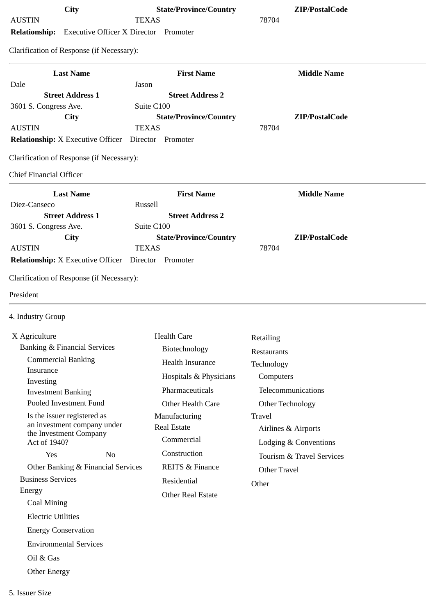| City<br><b>AUSTIN</b>                                      | <b>State/Province/Country</b><br><b>TEXAS</b> | ZIP/PostalCode<br>78704   |
|------------------------------------------------------------|-----------------------------------------------|---------------------------|
| <b>Relationship:</b> Executive Officer X Director Promoter |                                               |                           |
| Clarification of Response (if Necessary):                  |                                               |                           |
|                                                            |                                               |                           |
| <b>Last Name</b>                                           | <b>First Name</b>                             | <b>Middle Name</b>        |
| Dale<br><b>Street Address 1</b>                            | Jason<br><b>Street Address 2</b>              |                           |
| 3601 S. Congress Ave.                                      | Suite C100                                    |                           |
| <b>City</b>                                                | <b>State/Province/Country</b>                 | ZIP/PostalCode            |
| <b>AUSTIN</b>                                              | <b>TEXAS</b>                                  | 78704                     |
| <b>Relationship:</b> X Executive Officer                   | Director<br>Promoter                          |                           |
| Clarification of Response (if Necessary):                  |                                               |                           |
| <b>Chief Financial Officer</b>                             |                                               |                           |
| <b>Last Name</b>                                           | <b>First Name</b>                             | <b>Middle Name</b>        |
| Diez-Canseco                                               | Russell                                       |                           |
| <b>Street Address 1</b>                                    | <b>Street Address 2</b>                       |                           |
| 3601 S. Congress Ave.<br>City                              | Suite C100<br><b>State/Province/Country</b>   | ZIP/PostalCode            |
| <b>AUSTIN</b>                                              | <b>TEXAS</b>                                  | 78704                     |
| <b>Relationship:</b> X Executive Officer Director Promoter |                                               |                           |
| 4. Industry Group                                          |                                               |                           |
| X Agriculture<br><b>Banking &amp; Financial Services</b>   | <b>Health Care</b>                            | Retailing                 |
| <b>Commercial Banking</b>                                  | Biotechnology                                 | Restaurants               |
| Insurance                                                  | <b>Health Insurance</b>                       | Technology                |
| Investing                                                  | Hospitals & Physicians                        | Computers                 |
| <b>Investment Banking</b>                                  | Pharmaceuticals                               | Telecommunications        |
| Pooled Investment Fund                                     | Other Health Care                             | Other Technology          |
| Is the issuer registered as<br>an investment company under | Manufacturing                                 | <b>Travel</b>             |
| the Investment Company                                     | <b>Real Estate</b>                            | Airlines & Airports       |
| Act of 1940?                                               | Commercial                                    | Lodging & Conventions     |
| Yes<br>N <sub>o</sub>                                      | Construction                                  | Tourism & Travel Services |
| Other Banking & Financial Services                         | REITS & Finance                               | <b>Other Travel</b>       |
| <b>Business Services</b>                                   | Residential                                   | Other                     |
| Energy<br>Coal Mining                                      | <b>Other Real Estate</b>                      |                           |
|                                                            |                                               |                           |
| <b>Electric Utilities</b>                                  |                                               |                           |
| <b>Energy Conservation</b>                                 |                                               |                           |
| <b>Environmental Services</b>                              |                                               |                           |
| Oil & Gas                                                  |                                               |                           |
| <b>Other Energy</b>                                        |                                               |                           |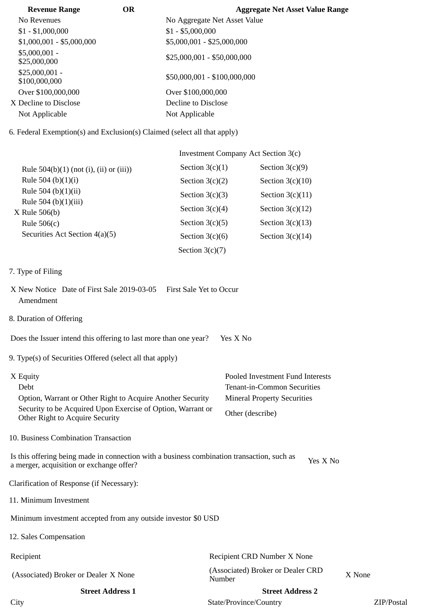| <b>Revenue Range</b>             | <b>OR</b> | <b>Aggregate Net Asset Value Range</b> |
|----------------------------------|-----------|----------------------------------------|
| No Revenues                      |           | No Aggregate Net Asset Value           |
| $$1 - $1,000,000$                |           | $$1 - $5,000,000$                      |
| $$1,000,001 - $5,000,000$        |           | \$5,000,001 - \$25,000,000             |
| $$5,000,001 -$<br>\$25,000,000   |           | $$25,000,001 - $50,000,000$            |
| $$25,000,001 -$<br>\$100,000,000 |           | \$50,000,001 - \$100,000,000           |
| Over \$100,000,000               |           | Over \$100,000,000                     |
| X Decline to Disclose            |           | Decline to Disclose                    |
| Not Applicable                   |           | Not Applicable                         |

6. Federal Exemption(s) and Exclusion(s) Claimed (select all that apply)

|                                           | Investment Company Act Section 3(c) |                    |  |
|-------------------------------------------|-------------------------------------|--------------------|--|
| Rule $504(b)(1)$ (not (i), (ii) or (iii)) | Section $3(c)(1)$                   | Section $3(c)(9)$  |  |
| Rule 504 (b) $(1)(i)$                     | Section $3(c)(2)$                   | Section $3(c)(10)$ |  |
| Rule 504 (b) $(1)(ii)$                    | Section $3(c)(3)$                   | Section $3(c)(11)$ |  |
| Rule 504 (b)(1)(iii)<br>X Rule 506(b)     | Section $3(c)(4)$                   | Section $3(c)(12)$ |  |
| Rule $506(c)$                             | Section $3(c)(5)$                   | Section $3(c)(13)$ |  |
| Securities Act Section 4(a)(5)            | Section $3(c)(6)$                   | Section $3(c)(14)$ |  |
|                                           | Section $3(c)(7)$                   |                    |  |

## 7. Type of Filing

- X New Notice Date of First Sale 2019-03-05 First Sale Yet to Occur Amendment
- 8. Duration of Offering

Does the Issuer intend this offering to last more than one year? Yes X No

9. Type(s) of Securities Offered (select all that apply)

| X Equity                                                                                       | Pooled Investment Fund Interests   |
|------------------------------------------------------------------------------------------------|------------------------------------|
| Debt                                                                                           | Tenant-in-Common Securities        |
| Option, Warrant or Other Right to Acquire Another Security                                     | <b>Mineral Property Securities</b> |
| Security to be Acquired Upon Exercise of Option, Warrant or<br>Other Right to Acquire Security | Other (describe)                   |

10. Business Combination Transaction

Is this offering being made in connection with a business combination transaction, such as is this oriening being made in connection with a business combination transaction, such as  $Y$ es X No a merger, acquisition or exchange offer?

Clarification of Response (if Necessary):

11. Minimum Investment

Minimum investment accepted from any outside investor \$0 USD

12. Sales Compensation

| Recipient                            | Recipient CRD Number X None                 |            |
|--------------------------------------|---------------------------------------------|------------|
| (Associated) Broker or Dealer X None | (Associated) Broker or Dealer CRD<br>Number | X None     |
| <b>Street Address 1</b>              | <b>Street Address 2</b>                     |            |
| City                                 | State/Province/Country                      | ZIP/Postal |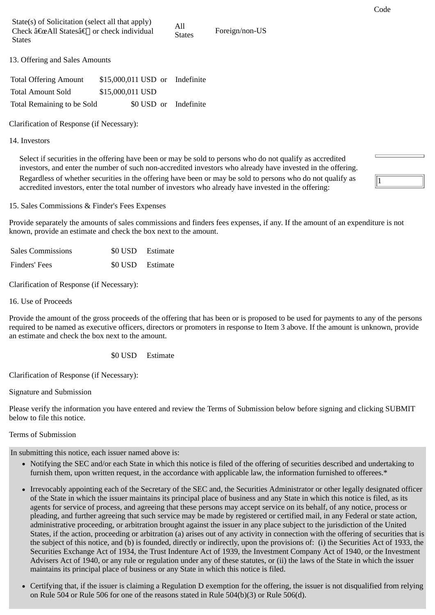All

States Foreign/non-US

13. Offering and Sales Amounts

| <b>Total Offering Amount</b> | \$15,000,011 USD or Indefinite |  |                       |
|------------------------------|--------------------------------|--|-----------------------|
| <b>Total Amount Sold</b>     | \$15,000,011 USD               |  |                       |
| Total Remaining to be Sold   |                                |  | \$0 USD or Indefinite |

Clarification of Response (if Necessary):

14. Investors

Select if securities in the offering have been or may be sold to persons who do not qualify as accredited investors, and enter the number of such non-accredited investors who already have invested in the offering. Regardless of whether securities in the offering have been or may be sold to persons who do not qualify as accredited investors, enter the total number of investors who already have invested in the offering:

15. Sales Commissions & Finder's Fees Expenses

Provide separately the amounts of sales commissions and finders fees expenses, if any. If the amount of an expenditure is not known, provide an estimate and check the box next to the amount.

| <b>Sales Commissions</b> | \$0 USD Estimate |
|--------------------------|------------------|
| Finders' Fees            | \$0 USD Estimate |

Clarification of Response (if Necessary):

16. Use of Proceeds

Provide the amount of the gross proceeds of the offering that has been or is proposed to be used for payments to any of the persons required to be named as executive officers, directors or promoters in response to Item 3 above. If the amount is unknown, provide an estimate and check the box next to the amount.

\$0 USD Estimate

Clarification of Response (if Necessary):

Signature and Submission

Please verify the information you have entered and review the Terms of Submission below before signing and clicking SUBMIT below to file this notice.

Terms of Submission

In submitting this notice, each issuer named above is:

- Notifying the SEC and/or each State in which this notice is filed of the offering of securities described and undertaking to furnish them, upon written request, in the accordance with applicable law, the information furnished to offerees.\*
- Irrevocably appointing each of the Secretary of the SEC and, the Securities Administrator or other legally designated officer of the State in which the issuer maintains its principal place of business and any State in which this notice is filed, as its agents for service of process, and agreeing that these persons may accept service on its behalf, of any notice, process or pleading, and further agreeing that such service may be made by registered or certified mail, in any Federal or state action, administrative proceeding, or arbitration brought against the issuer in any place subject to the jurisdiction of the United States, if the action, proceeding or arbitration (a) arises out of any activity in connection with the offering of securities that is the subject of this notice, and (b) is founded, directly or indirectly, upon the provisions of: (i) the Securities Act of 1933, the Securities Exchange Act of 1934, the Trust Indenture Act of 1939, the Investment Company Act of 1940, or the Investment Advisers Act of 1940, or any rule or regulation under any of these statutes, or (ii) the laws of the State in which the issuer maintains its principal place of business or any State in which this notice is filed.
- Certifying that, if the issuer is claiming a Regulation D exemption for the offering, the issuer is not disqualified from relying on Rule 504 or Rule 506 for one of the reasons stated in Rule 504(b)(3) or Rule 506(d).

1